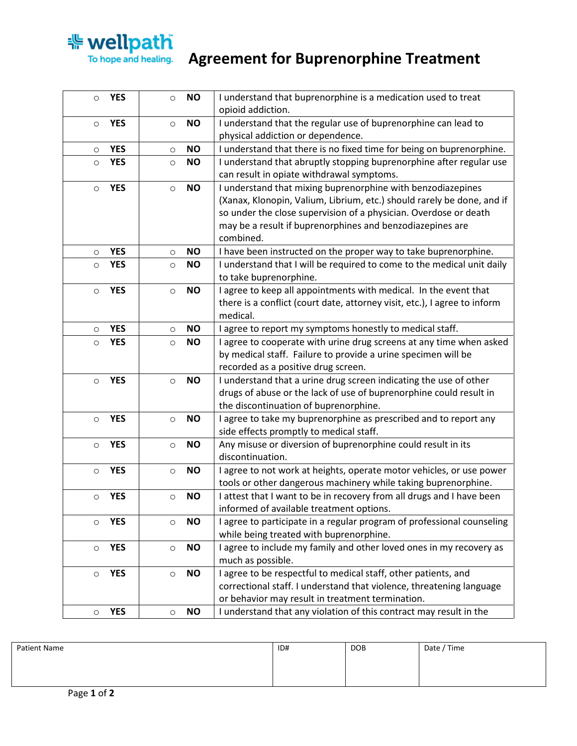

## **Wellpath**<br>To hope and healing. Agreement for Buprenorphine Treatment

| $\circ$ | <b>YES</b> | $\circ$ | <b>NO</b> | I understand that buprenorphine is a medication used to treat                                           |
|---------|------------|---------|-----------|---------------------------------------------------------------------------------------------------------|
|         |            |         |           | opioid addiction.                                                                                       |
| $\circ$ | <b>YES</b> | $\circ$ | <b>NO</b> | I understand that the regular use of buprenorphine can lead to                                          |
|         |            |         |           | physical addiction or dependence.                                                                       |
| $\circ$ | <b>YES</b> | $\circ$ | <b>NO</b> | I understand that there is no fixed time for being on buprenorphine.                                    |
| $\circ$ | <b>YES</b> | $\circ$ | <b>NO</b> | I understand that abruptly stopping buprenorphine after regular use                                     |
|         |            |         |           | can result in opiate withdrawal symptoms.                                                               |
| $\circ$ | <b>YES</b> | $\circ$ | <b>NO</b> | I understand that mixing buprenorphine with benzodiazepines                                             |
|         |            |         |           | (Xanax, Klonopin, Valium, Librium, etc.) should rarely be done, and if                                  |
|         |            |         |           | so under the close supervision of a physician. Overdose or death                                        |
|         |            |         |           | may be a result if buprenorphines and benzodiazepines are                                               |
|         |            |         |           | combined.                                                                                               |
| $\circ$ | <b>YES</b> | $\circ$ | <b>NO</b> | I have been instructed on the proper way to take buprenorphine.                                         |
| $\circ$ | <b>YES</b> | $\circ$ | <b>NO</b> | I understand that I will be required to come to the medical unit daily                                  |
|         |            |         |           | to take buprenorphine.                                                                                  |
| $\circ$ | <b>YES</b> | $\circ$ | <b>NO</b> | I agree to keep all appointments with medical. In the event that                                        |
|         |            |         |           | there is a conflict (court date, attorney visit, etc.), I agree to inform                               |
|         |            |         |           | medical.                                                                                                |
| $\circ$ | <b>YES</b> | $\circ$ | <b>NO</b> | I agree to report my symptoms honestly to medical staff.                                                |
| $\circ$ | <b>YES</b> | $\circ$ | <b>NO</b> | I agree to cooperate with urine drug screens at any time when asked                                     |
|         |            |         |           | by medical staff. Failure to provide a urine specimen will be                                           |
|         |            |         |           | recorded as a positive drug screen.                                                                     |
| $\circ$ | <b>YES</b> | $\circ$ | <b>NO</b> | I understand that a urine drug screen indicating the use of other                                       |
|         |            |         |           | drugs of abuse or the lack of use of buprenorphine could result in                                      |
|         | <b>YES</b> |         |           | the discontinuation of buprenorphine.                                                                   |
| $\circ$ |            | $\circ$ | <b>NO</b> | I agree to take my buprenorphine as prescribed and to report any                                        |
|         | <b>YES</b> |         | <b>NO</b> | side effects promptly to medical staff.<br>Any misuse or diversion of buprenorphine could result in its |
| $\circ$ |            | $\circ$ |           | discontinuation.                                                                                        |
| $\circ$ | <b>YES</b> | $\circ$ | <b>NO</b> | I agree to not work at heights, operate motor vehicles, or use power                                    |
|         |            |         |           | tools or other dangerous machinery while taking buprenorphine.                                          |
| $\circ$ | <b>YES</b> | $\circ$ | <b>NO</b> | I attest that I want to be in recovery from all drugs and I have been                                   |
|         |            |         |           | informed of available treatment options.                                                                |
| $\circ$ | <b>YES</b> | $\circ$ | <b>NO</b> | I agree to participate in a regular program of professional counseling                                  |
|         |            |         |           | while being treated with buprenorphine.                                                                 |
| $\circ$ | <b>YES</b> | $\circ$ | <b>NO</b> | I agree to include my family and other loved ones in my recovery as                                     |
|         |            |         |           | much as possible.                                                                                       |
| $\circ$ | <b>YES</b> | $\circ$ | <b>NO</b> | I agree to be respectful to medical staff, other patients, and                                          |
|         |            |         |           | correctional staff. I understand that violence, threatening language                                    |
|         |            |         |           | or behavior may result in treatment termination.                                                        |
| $\circ$ | <b>YES</b> | $\circ$ | <b>NO</b> | I understand that any violation of this contract may result in the                                      |

| Patient Name | ID# | DOB | Date / Time |
|--------------|-----|-----|-------------|
|              |     |     |             |
|              |     |     |             |